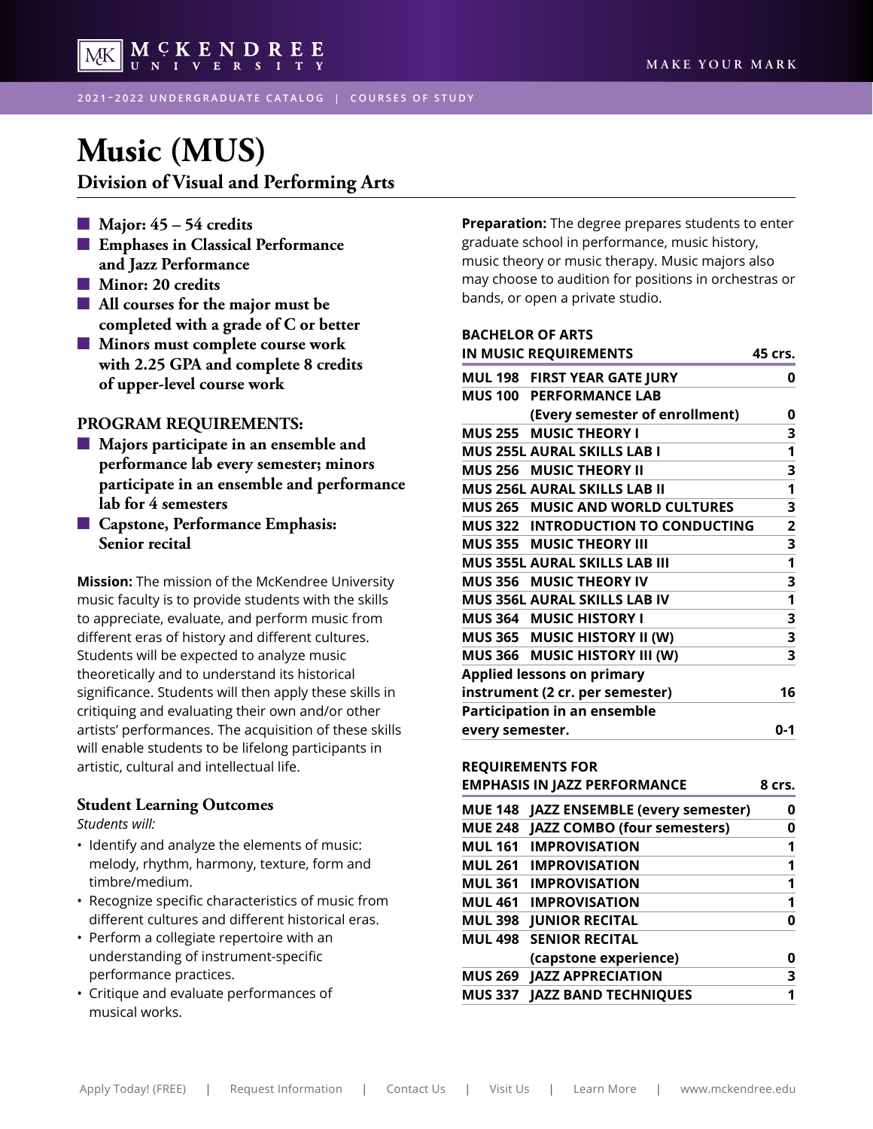

**2021 – 2022 UNDERGRADUATE CATALOG | COURSES OF STUDY**

# **[Music \(MUS\)](#page-3-0)**

**Division of Visual and Performing Arts**

- n **Major: 45 54 credits**
- $\blacksquare$  **Emphases in Classical Performance and Jazz Performance**
- $\blacksquare$  Minor: 20 credits
- $\blacksquare$  All courses for the major must be **completed with a grade of C or better**
- $\blacksquare$  Minors must complete course work **with 2.25 GPA and complete 8 credits of upper-level course work**

#### **PROGRAM REQUIREMENTS:**

- $\blacksquare$  Majors participate in an ensemble and **performance lab every semester; minors participate in an ensemble and performance lab for 4 semesters**
- $\blacksquare$  Capstone, Performance Emphasis: **Senior recital**

**Mission:** The mission of the McKendree University music faculty is to provide students with the skills to appreciate, evaluate, and perform music from different eras of history and different cultures. Students will be expected to analyze music theoretically and to understand its historical significance. Students will then apply these skills in critiquing and evaluating their own and/or other artists' performances. The acquisition of these skills will enable students to be lifelong participants in artistic, cultural and intellectual life.

#### **Student Learning Outcomes**

*Students will:*

- Identify and analyze the elements of music: melody, rhythm, harmony, texture, form and timbre/medium.
- Recognize specific characteristics of music from different cultures and different historical eras.
- Perform a collegiate repertoire with an understanding of instrument-specific performance practices.
- Critique and evaluate performances of musical works.

**Preparation:** The degree prepares students to enter graduate school in performance, music history, music theory or music therapy. Music majors also may choose to audition for positions in orchestras or bands, or open a private studio.

#### **BACHELOR OF ARTS IN MUSIC REQUIREMENTS 45 crs.**

| MUL 198 FIRST YEAR GATE JURY              | 0   |
|-------------------------------------------|-----|
| <b>MUS 100 PERFORMANCE LAB</b>            |     |
| (Every semester of enrollment)            | 0   |
| MUS 255 MUSIC THEORY I                    | 3   |
| MUS 255L AURAL SKILLS LAB I               | 1   |
| MUS 256 MUSIC THEORY II                   | 3   |
| <b>MUS 256L AURAL SKILLS LAB II</b>       | 1   |
| <b>MUS 265 MUSIC AND WORLD CULTURES</b>   | 3   |
| <b>MUS 322 INTRODUCTION TO CONDUCTING</b> | 2   |
| MUS 355 MUSIC THEORY III                  | 3   |
| <b>MUS 355L AURAL SKILLS LAB III</b>      | 1   |
| <b>MUS 356 MUSIC THEORY IV</b>            | 3   |
| <b>MUS 356L AURAL SKILLS LAB IV</b>       | 1   |
| MUS 364 MUSIC HISTORY I                   | 3   |
| MUS 365 MUSIC HISTORY II (W)              | 3   |
| MUS 366 MUSIC HISTORY III (W)             | 3   |
| <b>Applied lessons on primary</b>         |     |
| instrument (2 cr. per semester)           | 16  |
| <b>Participation in an ensemble</b>       |     |
| every semester.                           | 0-1 |

#### **REQUIREMENTS FOR**

|                | <b>EMPHASIS IN JAZZ PERFORMANCE</b>   | 8 crs. |
|----------------|---------------------------------------|--------|
| <b>MUE 148</b> | <b>JAZZ ENSEMBLE (every semester)</b> | 0      |
|                | MUE 248 JAZZ COMBO (four semesters)   | 0      |
|                | <b>MUL 161 IMPROVISATION</b>          | 1      |
|                | <b>MUL 261 IMPROVISATION</b>          | 1      |
|                | <b>MUL 361 IMPROVISATION</b>          | 1      |
|                | <b>MUL 461 IMPROVISATION</b>          | 1      |
|                | <b>MUL 398 JUNIOR RECITAL</b>         | 0      |
|                | <b>MUL 498 SENIOR RECITAL</b>         |        |
|                | (capstone experience)                 | 0      |
|                | <b>MUS 269 JAZZ APPRECIATION</b>      | 3      |
|                | MUS 337 JAZZ BAND TECHNIQUES          | 1      |
|                |                                       |        |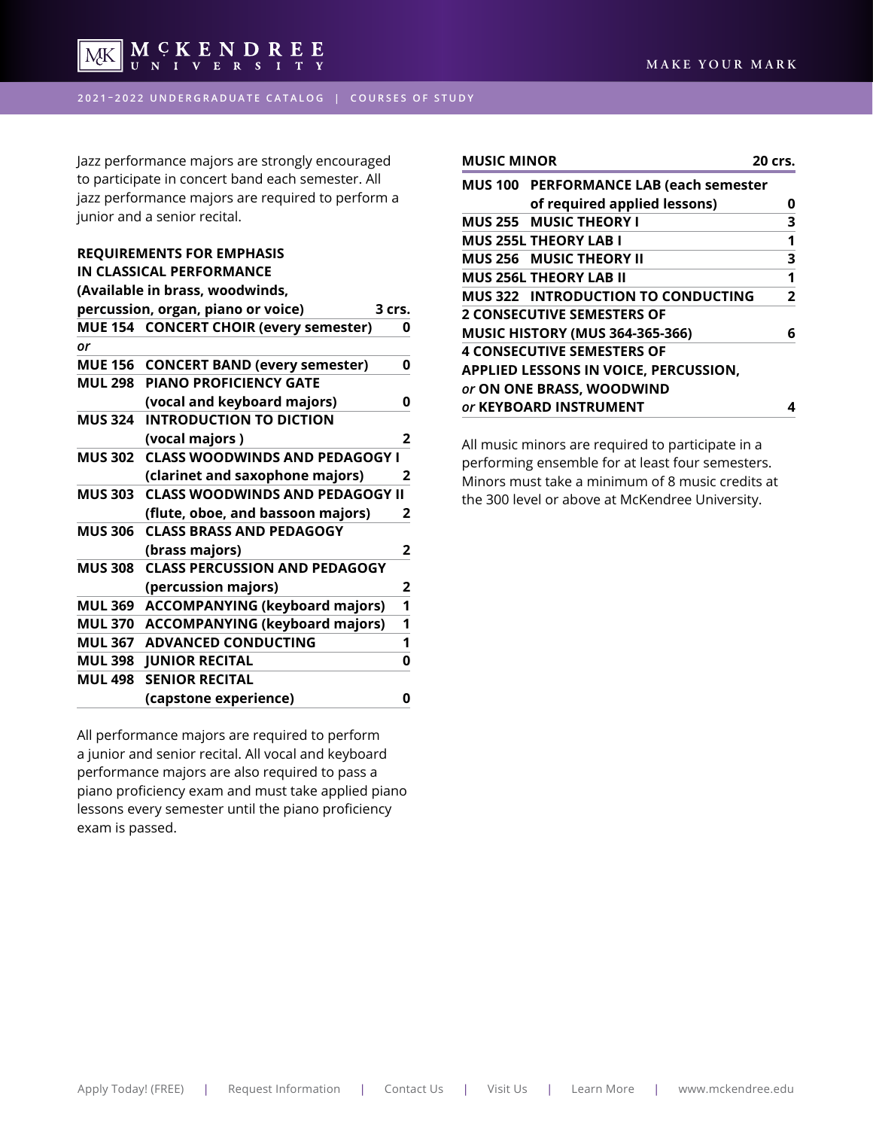

**2021 – 2022 UNDERGRADUATE CATALOG | COURSES OF STUDY**

Jazz performance majors are strongly encouraged to participate in concert band each semester. All jazz performance majors are required to perform a junior and a senior recital.

## **REQUIREMENTS FOR EMPHASIS IN CLASSICAL PERFORMANCE**

|                | (Available in brass, woodwinds,        |        |
|----------------|----------------------------------------|--------|
|                | percussion, organ, piano or voice)     | 3 crs. |
|                | MUE 154 CONCERT CHOIR (every semester) | 0      |
| or             |                                        |        |
| <b>MUE 156</b> | <b>CONCERT BAND (every semester)</b>   | 0      |
| <b>MUL 298</b> | <b>PIANO PROFICIENCY GATE</b>          |        |
|                | (vocal and keyboard majors)            | 0      |
| <b>MUS 324</b> | <b>INTRODUCTION TO DICTION</b>         |        |
|                | (vocal majors)                         | 2      |
| <b>MUS 302</b> | <b>CLASS WOODWINDS AND PEDAGOGY I</b>  |        |
|                | (clarinet and saxophone majors)        | 2      |
| <b>MUS 303</b> | <b>CLASS WOODWINDS AND PEDAGOGY II</b> |        |
|                | (flute, oboe, and bassoon majors)      | 2      |
| <b>MUS 306</b> | <b>CLASS BRASS AND PEDAGOGY</b>        |        |
|                | (brass majors)                         | 2      |
| <b>MUS 308</b> | <b>CLASS PERCUSSION AND PEDAGOGY</b>   |        |
|                | (percussion majors)                    | 2      |
| <b>MUL 369</b> | <b>ACCOMPANYING (keyboard majors)</b>  | 1      |
| <b>MUL 370</b> | <b>ACCOMPANYING (keyboard majors)</b>  | 1      |
| <b>MUL 367</b> | <b>ADVANCED CONDUCTING</b>             | 1      |
| <b>MUL 398</b> | <b>JUNIOR RECITAL</b>                  | 0      |
| <b>MUL 498</b> | <b>SENIOR RECITAL</b>                  |        |
|                | (capstone experience)                  | 0      |
|                |                                        |        |

All performance majors are required to perform a junior and senior recital. All vocal and keyboard performance majors are also required to pass a piano proficiency exam and must take applied piano lessons every semester until the piano proficiency exam is passed.

| <b>MUSIC MINOR</b>                            | 20 crs. |
|-----------------------------------------------|---------|
| <b>MUS 100 PERFORMANCE LAB (each semester</b> |         |
| of required applied lessons)                  | n       |
| <b>MUS 255 MUSIC THEORY I</b>                 | 3       |
| <b>MUS 255L THEORY LAB I</b>                  | 1       |
| <b>MUS 256 MUSIC THEORY II</b>                | 3       |
| <b>MUS 256L THEORY LAB II</b>                 | 1       |
| <b>MUS 322 INTRODUCTION TO CONDUCTING</b>     | 2       |
| <b>2 CONSECUTIVE SEMESTERS OF</b>             |         |
| <b>MUSIC HISTORY (MUS 364-365-366)</b>        | 6       |
| <b>4 CONSECUTIVE SEMESTERS OF</b>             |         |
| <b>APPLIED LESSONS IN VOICE, PERCUSSION,</b>  |         |
| or ON ONE BRASS, WOODWIND                     |         |
| or KEYBOARD INSTRUMENT                        |         |

All music minors are required to participate in a performing ensemble for at least four semesters. Minors must take a minimum of 8 music credits at the 300 level or above at McKendree University.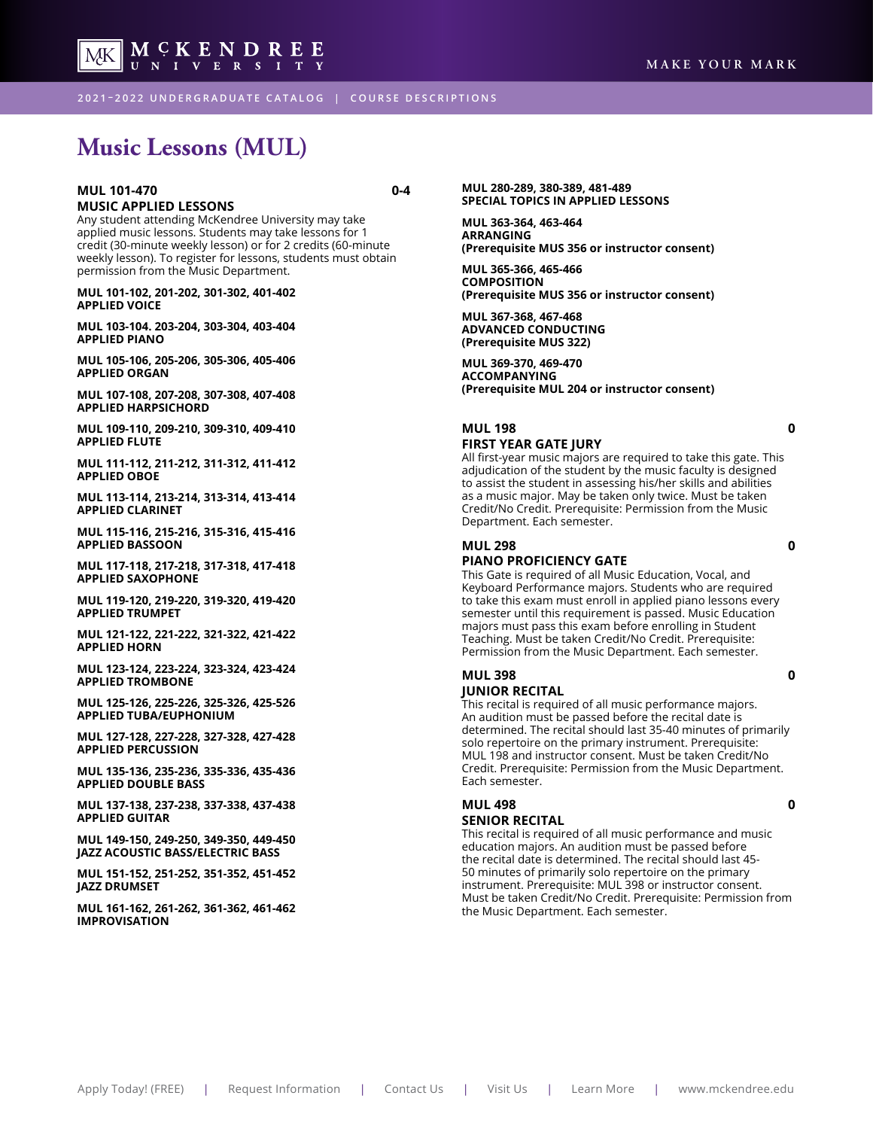

**2021 – 2022 UNDERGRADUATE CATALOG | COURSE DESCRIPTIONS**

# **Music Lessons (MUL)**

#### **MUL 101-470** 0-4 **MUSIC APPLIED LESSONS**

Any student attending McKendree University may take applied music lessons. Students may take lessons for 1 credit (30-minute weekly lesson) or for 2 credits (60-minute weekly lesson). To register for lessons, students must obtain permission from the Music Department.

**MUL 101-102, 201-202, 301-302, 401-402 APPLIED VOICE**

**MUL 103-104. 203-204, 303-304, 403-404 APPLIED PIANO**

**MUL 105-106, 205-206, 305-306, 405-406 APPLIED ORGAN**

**MUL 107-108, 207-208, 307-308, 407-408 APPLIED HARPSICHORD**

**MUL 109-110, 209-210, 309-310, 409-410 APPLIED FLUTE**

**MUL 111-112, 211-212, 311-312, 411-412 APPLIED OBOE**

**MUL 113-114, 213-214, 313-314, 413-414 APPLIED CLARINET**

**MUL 115-116, 215-216, 315-316, 415-416 APPLIED BASSOON**

**MUL 117-118, 217-218, 317-318, 417-418 APPLIED SAXOPHONE**

**MUL 119-120, 219-220, 319-320, 419-420 APPLIED TRUMPET**

**MUL 121-122, 221-222, 321-322, 421-422 APPLIED HORN**

**MUL 123-124, 223-224, 323-324, 423-424 APPLIED TROMBONE**

**MUL 125-126, 225-226, 325-326, 425-526 APPLIED TUBA/EUPHONIUM**

**MUL 127-128, 227-228, 327-328, 427-428 APPLIED PERCUSSION**

**MUL 135-136, 235-236, 335-336, 435-436 APPLIED DOUBLE BASS**

**MUL 137-138, 237-238, 337-338, 437-438 APPLIED GUITAR**

**MUL 149-150, 249-250, 349-350, 449-450 JAZZ ACOUSTIC BASS/ELECTRIC BASS**

**MUL 151-152, 251-252, 351-352, 451-452 JAZZ DRUMSET**

**MUL 161-162, 261-262, 361-362, 461-462 IMPROVISATION**

**MUL 280-289, 380-389, 481-489 SPECIAL TOPICS IN APPLIED LESSONS**

**MUL 363-364, 463-464 ARRANGING (Prerequisite MUS 356 or instructor consent)**

**MUL 365-366, 465-466 COMPOSITION (Prerequisite MUS 356 or instructor consent)**

**MUL 367-368, 467-468 ADVANCED CONDUCTING (Prerequisite MUS 322)**

**MUL 369-370, 469-470 ACCOMPANYING (Prerequisite MUL 204 or instructor consent)**

#### **MUL 198 0 FIRST YEAR GATE JURY**

All first-year music majors are required to take this gate. This adjudication of the student by the music faculty is designed to assist the student in assessing his/her skills and abilities as a music major. May be taken only twice. Must be taken Credit/No Credit. Prerequisite: Permission from the Music Department. Each semester.

#### **MUL 298 0 PIANO PROFICIENCY GATE**

This Gate is required of all Music Education, Vocal, and Keyboard Performance majors. Students who are required to take this exam must enroll in applied piano lessons every semester until this requirement is passed. Music Education majors must pass this exam before enrolling in Student Teaching. Must be taken Credit/No Credit. Prerequisite: Permission from the Music Department. Each semester.

#### **MUL 398 0 JUNIOR RECITAL**

This recital is required of all music performance majors. An audition must be passed before the recital date is determined. The recital should last 35-40 minutes of primarily solo repertoire on the primary instrument. Prerequisite: MUL 198 and instructor consent. Must be taken Credit/No Credit. Prerequisite: Permission from the Music Department. Each semester.

#### **MUL 498 0 SENIOR RECITAL**

This recital is required of all music performance and music education majors. An audition must be passed before the recital date is determined. The recital should last 45- 50 minutes of primarily solo repertoire on the primary instrument. Prerequisite: MUL 398 or instructor consent. Must be taken Credit/No Credit. Prerequisite: Permission from the Music Department. Each semester.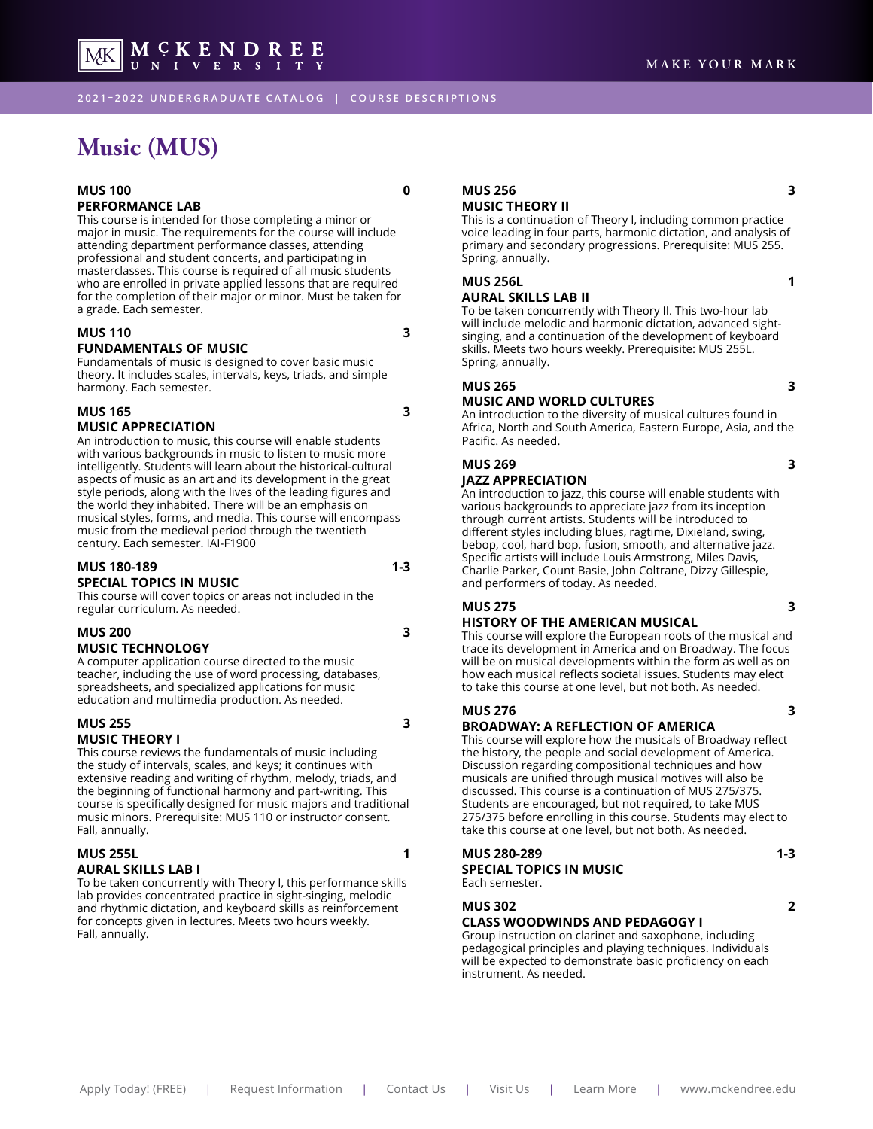<span id="page-3-0"></span>**2021 – 2022 UNDERGRADUATE CATALOG | COURSE DESCRIPTIONS**

# **Music (MUS)**

#### **MUS 100 0 PERFORMANCE LAB**

This course is intended for those completing a minor or major in music. The requirements for the course will include attending department performance classes, attending professional and student concerts, and participating in masterclasses. This course is required of all music students who are enrolled in private applied lessons that are required for the completion of their major or minor. Must be taken for a grade. Each semester.

MCKENDREE

#### **MUS 110 3 FUNDAMENTALS OF MUSIC**

Fundamentals of music is designed to cover basic music theory. It includes scales, intervals, keys, triads, and simple harmony. Each semester.

#### **MUS 165 3 MUSIC APPRECIATION**

An introduction to music, this course will enable students with various backgrounds in music to listen to music more intelligently. Students will learn about the historical-cultural aspects of music as an art and its development in the great style periods, along with the lives of the leading figures and the world they inhabited. There will be an emphasis on musical styles, forms, and media. This course will encompass music from the medieval period through the twentieth century. Each semester. IAI-F1900

#### **MUS 180-189** 1-3 **SPECIAL TOPICS IN MUSIC**

This course will cover topics or areas not included in the regular curriculum. As needed.

### **MUS 200 3 MUSIC TECHNOLOGY**

A computer application course directed to the music teacher, including the use of word processing, databases, spreadsheets, and specialized applications for music education and multimedia production. As needed.

#### **MUS 255 3 MUSIC THEORY I**

Fall, annually.

This course reviews the fundamentals of music including the study of intervals, scales, and keys; it continues with extensive reading and writing of rhythm, melody, triads, and the beginning of functional harmony and part-writing. This course is specifically designed for music majors and traditional music minors. Prerequisite: MUS 110 or instructor consent.

#### **MUS 255L 1 AURAL SKILLS LAB I**

To be taken concurrently with Theory I, this performance skills lab provides concentrated practice in sight-singing, melodic and rhythmic dictation, and keyboard skills as reinforcement for concepts given in lectures. Meets two hours weekly. Fall, annually.

#### **MUS 256 3 MUSIC THEORY II**

This is a continuation of Theory I, including common practice voice leading in four parts, harmonic dictation, and analysis of primary and secondary progressions. Prerequisite: MUS 255. Spring, annually.

### **MUS 256L 1**

#### **AURAL SKILLS LAB II**

To be taken concurrently with Theory II. This two-hour lab will include melodic and harmonic dictation, advanced sightsinging, and a continuation of the development of keyboard skills. Meets two hours weekly. Prerequisite: MUS 255L. Spring, annually.

#### **MUS 265 3**

#### **MUSIC AND WORLD CULTURES**

An introduction to the diversity of musical cultures found in Africa, North and South America, Eastern Europe, Asia, and the Pacific. As needed.

#### **MUS 269 3 JAZZ APPRECIATION**

An introduction to jazz, this course will enable students with various backgrounds to appreciate jazz from its inception through current artists. Students will be introduced to different styles including blues, ragtime, Dixieland, swing, bebop, cool, hard bop, fusion, smooth, and alternative jazz. Specific artists will include Louis Armstrong, Miles Davis, Charlie Parker, Count Basie, John Coltrane, Dizzy Gillespie, and performers of today. As needed.

### **MUS 275 3**

#### **HISTORY OF THE AMERICAN MUSICAL**

This course will explore the European roots of the musical and trace its development in America and on Broadway. The focus will be on musical developments within the form as well as on how each musical reflects societal issues. Students may elect to take this course at one level, but not both. As needed.

### **MUS 276 3**

#### **BROADWAY: A REFLECTION OF AMERICA**

This course will explore how the musicals of Broadway reflect the history, the people and social development of America. Discussion regarding compositional techniques and how musicals are unified through musical motives will also be discussed. This course is a continuation of MUS 275/375. Students are encouraged, but not required, to take MUS 275/375 before enrolling in this course. Students may elect to take this course at one level, but not both. As needed.

### MUS 280-289 **1-3 SPECIAL TOPICS IN MUSIC**

Each semester.

#### **MUS 302 2**

#### **CLASS WOODWINDS AND PEDAGOGY I**

Group instruction on clarinet and saxophone, including pedagogical principles and playing techniques. Individuals will be expected to demonstrate basic proficiency on each instrument. As needed.

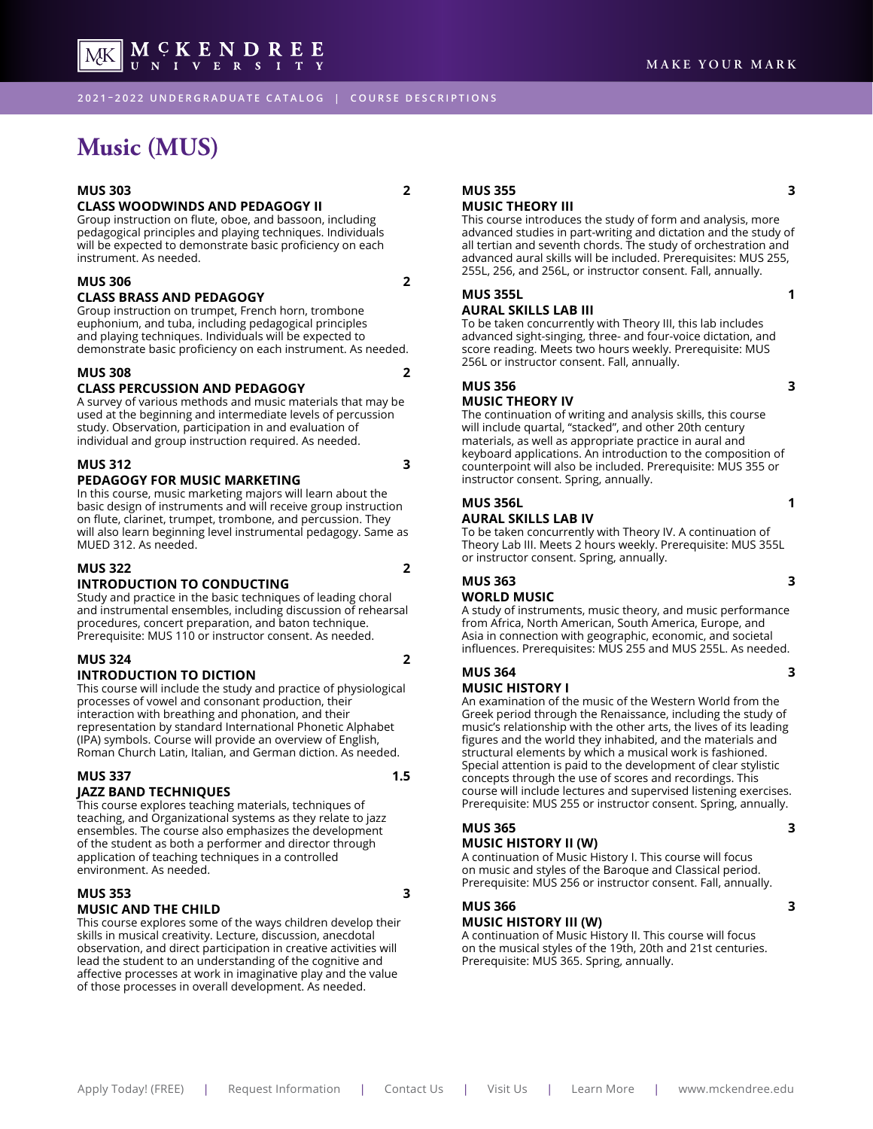**2021 – 2022 UNDERGRADUATE CATALOG | COURSE DESCRIPTIONS**

# **Music (MUS)**

#### **MUS 303 2**

MK |

#### **CLASS WOODWINDS AND PEDAGOGY II**

Group instruction on flute, oboe, and bassoon, including pedagogical principles and playing techniques. Individuals will be expected to demonstrate basic proficiency on each instrument. As needed.

 $\begin{array}{c} \textbf{M} \hspace{0.1cm} \textbf{C} \hspace{0.1cm} \textbf{K} \hspace{0.1cm} \textbf{E} \hspace{0.1cm} \textbf{N} \hspace{0.1cm} \textbf{D} \hspace{0.1cm} \textbf{R} \hspace{0.1cm} \textbf{E} \hspace{0.1cm} \textbf{E} \\ \textbf{U} \hspace{0.1cm} \textbf{N} \hspace{0.1cm} \textbf{I} \hspace{0.1cm} \textbf{V} \hspace{0.1cm} \textbf{E} \hspace{0.1cm} \textbf{R} \hspace{0$ 

#### **MUS 306 2 CLASS BRASS AND PEDAGOGY**

Group instruction on trumpet, French horn, trombone euphonium, and tuba, including pedagogical principles

and playing techniques. Individuals will be expected to demonstrate basic proficiency on each instrument. As needed.

#### **MUS 308 2**

#### **CLASS PERCUSSION AND PEDAGOGY**

A survey of various methods and music materials that may be used at the beginning and intermediate levels of percussion study. Observation, participation in and evaluation of individual and group instruction required. As needed.

#### **MUS 312** 3 **PEDAGOGY FOR MUSIC MARKETING**

In this course, music marketing majors will learn about the basic design of instruments and will receive group instruction on flute, clarinet, trumpet, trombone, and percussion. They will also learn beginning level instrumental pedagogy. Same as MUED 312. As needed.

#### **MUS 322 2**

#### **INTRODUCTION TO CONDUCTING**

Study and practice in the basic techniques of leading choral and instrumental ensembles, including discussion of rehearsal procedures, concert preparation, and baton technique. Prerequisite: MUS 110 or instructor consent. As needed.

#### **MUS 324 2 INTRODUCTION TO DICTION**

This course will include the study and practice of physiological processes of vowel and consonant production, their interaction with breathing and phonation, and their representation by standard International Phonetic Alphabet (IPA) symbols. Course will provide an overview of English, Roman Church Latin, Italian, and German diction. As needed.

### **MUS 337** 1.5 **JAZZ BAND TECHNIQUES**

This course explores teaching materials, techniques of teaching, and Organizational systems as they relate to jazz ensembles. The course also emphasizes the development of the student as both a performer and director through application of teaching techniques in a controlled environment. As needed.

### **MUS 353 3 MUSIC AND THE CHILD**

This course explores some of the ways children develop their skills in musical creativity. Lecture, discussion, anecdotal observation, and direct participation in creative activities will lead the student to an understanding of the cognitive and affective processes at work in imaginative play and the value of those processes in overall development. As needed.

#### **MUS 355 3 MUSIC THEORY III**

This course introduces the study of form and analysis, more advanced studies in part-writing and dictation and the study of all tertian and seventh chords. The study of orchestration and advanced aural skills will be included. Prerequisites: MUS 255, 255L, 256, and 256L, or instructor consent. Fall, annually.

#### **MUS 355L 2012 12:00:00 12:00:00 12:00:00 12:00:00 12:00:00 12:00:00 12:00:00 12:00:00 12:00:00 12:00:00 12:00:00 12:00:00 12:00:00 12:00:00 12:00:00 12:00:00 12:00:00 12:00:00 12:00:00 12:00:00 12:00:00 12:00:00 12:00:00**

#### **AURAL SKILLS LAB III**

To be taken concurrently with Theory III, this lab includes advanced sight-singing, three- and four-voice dictation, and score reading. Meets two hours weekly. Prerequisite: MUS 256L or instructor consent. Fall, annually.

#### **MUS 356 3**

#### **MUSIC THEORY IV**

The continuation of writing and analysis skills, this course will include quartal, "stacked", and other 20th century materials, as well as appropriate practice in aural and keyboard applications. An introduction to the composition of counterpoint will also be included. Prerequisite: MUS 355 or instructor consent. Spring, annually.

#### **MUS 356L** 1 **AURAL SKILLS LAB IV**

To be taken concurrently with Theory IV. A continuation of Theory Lab III. Meets 2 hours weekly. Prerequisite: MUS 355L or instructor consent. Spring, annually.

# **MUS 363 3**

**WORLD MUSIC**

A study of instruments, music theory, and music performance from Africa, North American, South America, Europe, and Asia in connection with geographic, economic, and societal influences. Prerequisites: MUS 255 and MUS 255L. As needed.

#### **MUS 364** 3 **MUSIC HISTORY I**

An examination of the music of the Western World from the Greek period through the Renaissance, including the study of music's relationship with the other arts, the lives of its leading figures and the world they inhabited, and the materials and structural elements by which a musical work is fashioned. Special attention is paid to the development of clear stylistic concepts through the use of scores and recordings. This course will include lectures and supervised listening exercises. Prerequisite: MUS 255 or instructor consent. Spring, annually.

#### **MUS 365 3 MUSIC HISTORY II (W)**

A continuation of Music History I. This course will focus on music and styles of the Baroque and Classical period.

### **MUS 366 3**

#### **MUSIC HISTORY III (W)**

A continuation of Music History II. This course will focus on the musical styles of the 19th, 20th and 21st centuries. Prerequisite: MUS 365. Spring, annually.

Prerequisite: MUS 256 or instructor consent. Fall, annually.